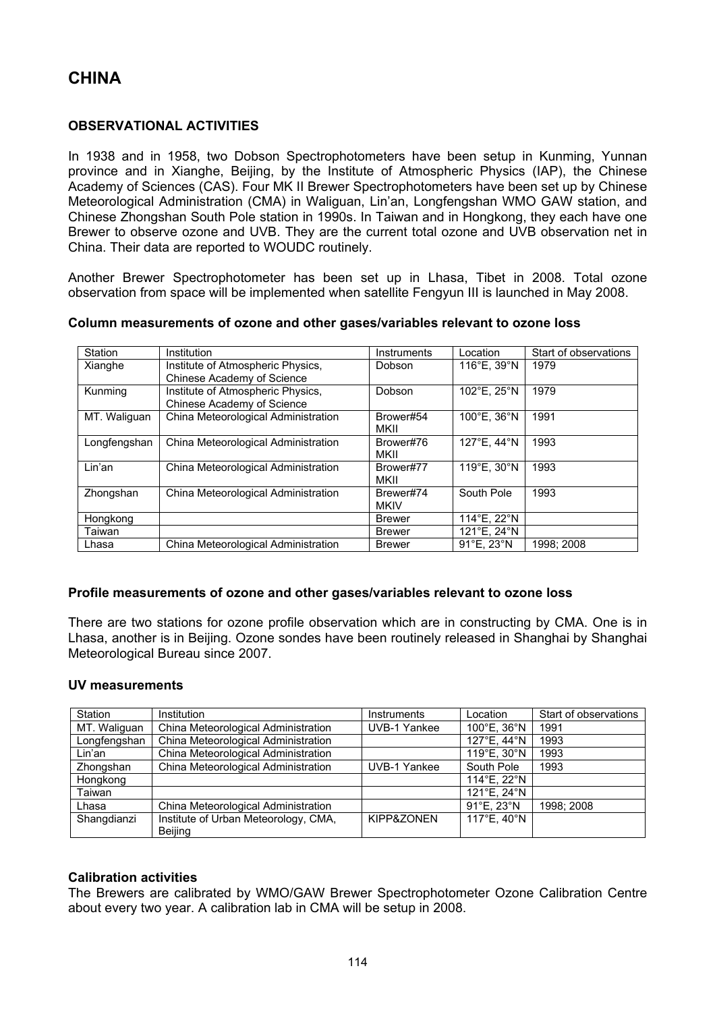# **OBSERVATIONAL ACTIVITIES**

In 1938 and in 1958, two Dobson Spectrophotometers have been setup in Kunming, Yunnan province and in Xianghe, Beijing, by the Institute of Atmospheric Physics (IAP), the Chinese Academy of Sciences (CAS). Four MK II Brewer Spectrophotometers have been set up by Chinese Meteorological Administration (CMA) in Waliguan, Lin'an, Longfengshan WMO GAW station, and Chinese Zhongshan South Pole station in 1990s. In Taiwan and in Hongkong, they each have one Brewer to observe ozone and UVB. They are the current total ozone and UVB observation net in China. Their data are reported to WOUDC routinely.

Another Brewer Spectrophotometer has been set up in Lhasa, Tibet in 2008. Total ozone observation from space will be implemented when satellite Fengyun III is launched in May 2008.

**Column measurements of ozone and other gases/variables relevant to ozone loss** 

| Station      | Institution                         | Instruments   | Location    | Start of observations |
|--------------|-------------------------------------|---------------|-------------|-----------------------|
| Xianghe      | Institute of Atmospheric Physics,   | Dobson        | 116°E, 39°N | 1979                  |
|              | Chinese Academy of Science          |               |             |                       |
| Kunming      | Institute of Atmospheric Physics,   | Dobson        | 102°E. 25°N | 1979                  |
|              | Chinese Academy of Science          |               |             |                       |
| MT. Waliguan | China Meteorological Administration | Brower#54     | 100°E, 36°N | 1991                  |
|              |                                     | <b>MKII</b>   |             |                       |
| Longfengshan | China Meteorological Administration | Brower#76     | 127°E. 44°N | 1993                  |
|              |                                     | MKII          |             |                       |
| Lin'an       | China Meteorological Administration | Brower#77     | 119°E, 30°N | 1993                  |
|              |                                     | <b>MKII</b>   |             |                       |
| Zhongshan    | China Meteorological Administration | Brewer#74     | South Pole  | 1993                  |
|              |                                     | <b>MKIV</b>   |             |                       |
| Hongkong     |                                     | <b>Brewer</b> | 114°E. 22°N |                       |
| Taiwan       |                                     | <b>Brewer</b> | 121°E, 24°N |                       |
| Lhasa        | China Meteorological Administration | <b>Brewer</b> | 91°E, 23°N  | 1998: 2008            |

## **Profile measurements of ozone and other gases/variables relevant to ozone loss**

There are two stations for ozone profile observation which are in constructing by CMA. One is in Lhasa, another is in Beijing. Ozone sondes have been routinely released in Shanghai by Shanghai Meteorological Bureau since 2007.

#### **UV measurements**

| Station      | Institution                          | Instruments         | Location             | Start of observations |
|--------------|--------------------------------------|---------------------|----------------------|-----------------------|
| MT. Waliguan | China Meteorological Administration  | <b>UVB-1 Yankee</b> | 100°E, 36°N          | 1991                  |
| Longfengshan | China Meteorological Administration  |                     | 127°E, 44°N          | 1993                  |
| Lin'an       | China Meteorological Administration  |                     | 119°E. 30°N          | 1993                  |
| Zhongshan    | China Meteorological Administration  | <b>UVB-1 Yankee</b> | South Pole           | 1993                  |
| Hongkong     |                                      |                     | 114°E. 22°N          |                       |
| Taiwan       |                                      |                     | 121°E. 24°N          |                       |
| Lhasa        | China Meteorological Administration  |                     | $91^{\circ}$ E. 23°N | 1998: 2008            |
| Shangdianzi  | Institute of Urban Meteorology, CMA, | KIPP&ZONEN          | 117°E. 40°N          |                       |
|              | Beijing                              |                     |                      |                       |

## **Calibration activities**

The Brewers are calibrated by WMO/GAW Brewer Spectrophotometer Ozone Calibration Centre about every two year. A calibration lab in CMA will be setup in 2008.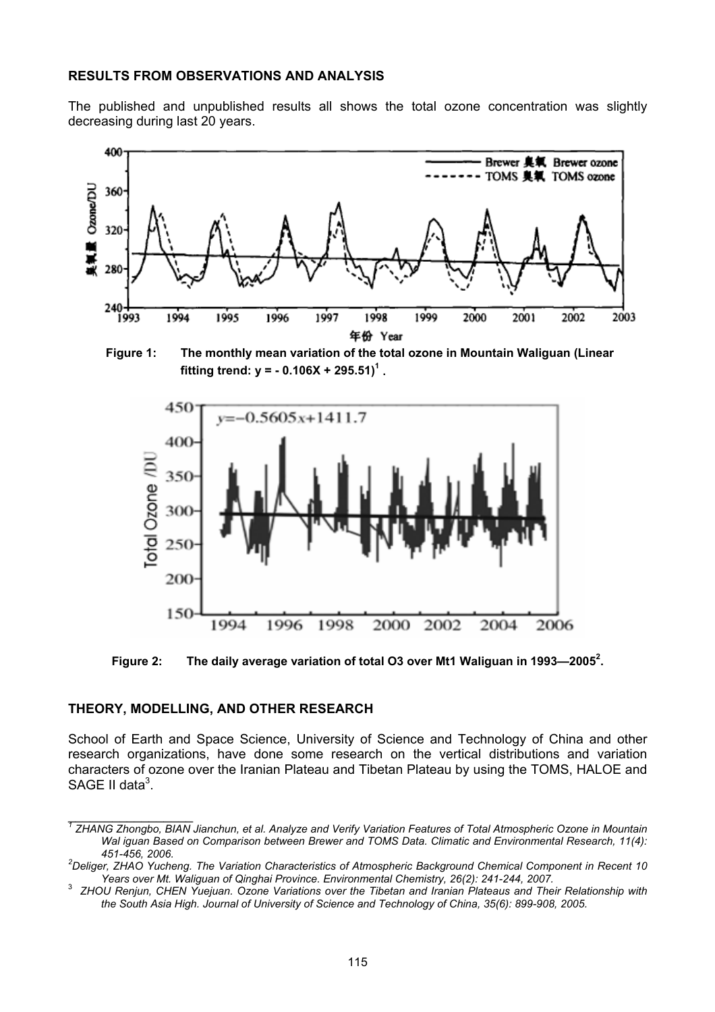### **RESULTS FROM OBSERVATIONS AND ANALYSIS**

The published and unpublished results all shows the total ozone concentration was slightly decreasing during last 20 years.



**Figure 1: The monthly mean variation of the total ozone in Mountain Waliguan (Linear**  fitting trend:  $y = -0.106X + 295.51)^{1}$ .



**Figure 2: The daily average variation of total O3 over Mt1 Waliguan in 1993—2005<sup>2</sup> .**

#### **THEORY, MODELLING, AND OTHER RESEARCH**

School of Earth and Space Science, University of Science and Technology of China and other research organizations, have done some research on the vertical distributions and variation characters of ozone over the Iranian Plateau and Tibetan Plateau by using the TOMS, HALOE and SAGE II data<sup>3</sup>.

\_\_\_\_\_\_\_\_\_\_\_\_\_\_\_\_\_ *1 ZHANG Zhongbo, BIAN Jianchun, et al. Analyze and Verify Variation Features of Total Atmospheric Ozone in Mountain Wal iguan Based on Comparison between Brewer and TOMS Data. Climatic and Environmental Research, 11(4): 451-456, 2006. 2*

*Deliger, ZHAO Yucheng. The Variation Characteristics of Atmospheric Background Chemical Component in Recent 10 Years over Mt. Waliguan of Qinghai Province. Environmental Chemistry, 26(2): 241-244, 2007.* <sup>3</sup> *ZHOU Renjun, CHEN Yuejuan. Ozone Variations over the Tibetan and Iranian Plateaus and Their Relationship with* 

*the South Asia High. Journal of University of Science and Technology of China, 35(6): 899-908, 2005.*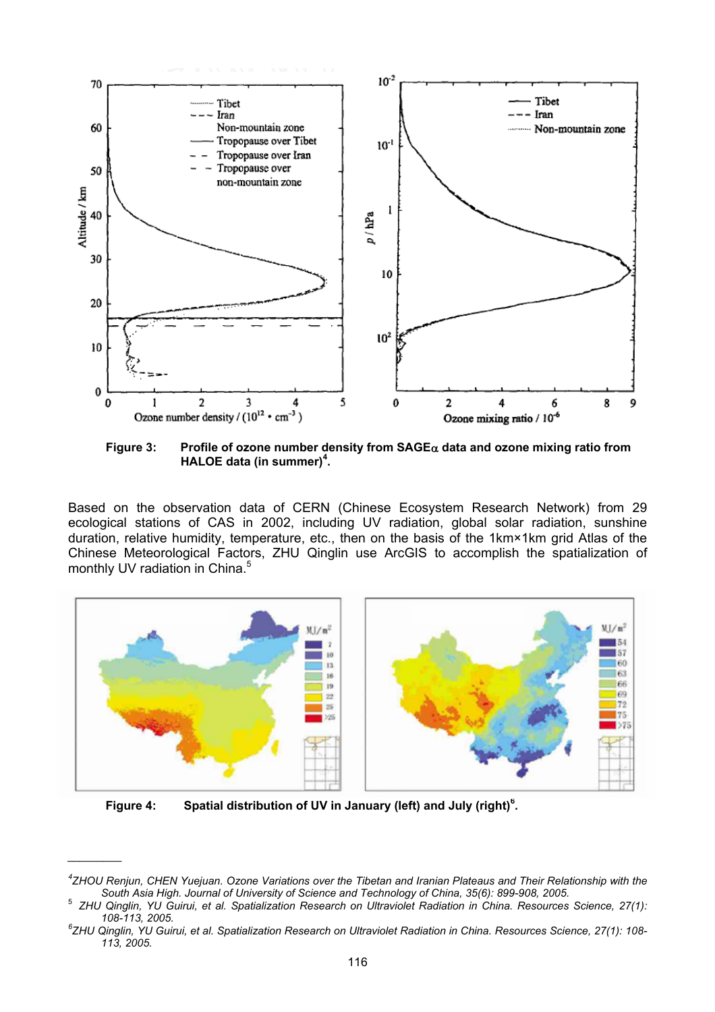

**Figure 3: Profile of ozone number density from SAGE**α **data and ozone mixing ratio from HALOE data (in summer)<sup>4</sup> .**

Based on the observation data of CERN (Chinese Ecosystem Research Network) from 29 ecological stations of CAS in 2002, including UV radiation, global solar radiation, sunshine duration, relative humidity, temperature, etc., then on the basis of the 1km×1km grid Atlas of the Chinese Meteorological Factors, ZHU Qinglin use ArcGIS to accomplish the spatialization of monthly UV radiation in China.<sup>5</sup>



**Figure 4: Spatial distribution of UV in January (left) and July (right)<sup>6</sup> .** 

*\_\_\_\_\_\_\_\_\_* 

*<sup>4</sup> ZHOU Renjun, CHEN Yuejuan. Ozone Variations over the Tibetan and Iranian Plateaus and Their Relationship with the* 

South Asia High. Journal of University of Science and Technology of China, 35(6): 899-908, 2005.<br>77(1): 74 ZHU Qinglin, YU Guirui, et al. Spatialization Research on Ultraviolet Radiation in China. Resources Science, 27(1): *108-113, 2005. 6 ZHU Qinglin, YU Guirui, et al. Spatialization Research on Ultraviolet Radiation in China. Resources Science, 27(1): 108-*

*<sup>113, 2005.</sup>*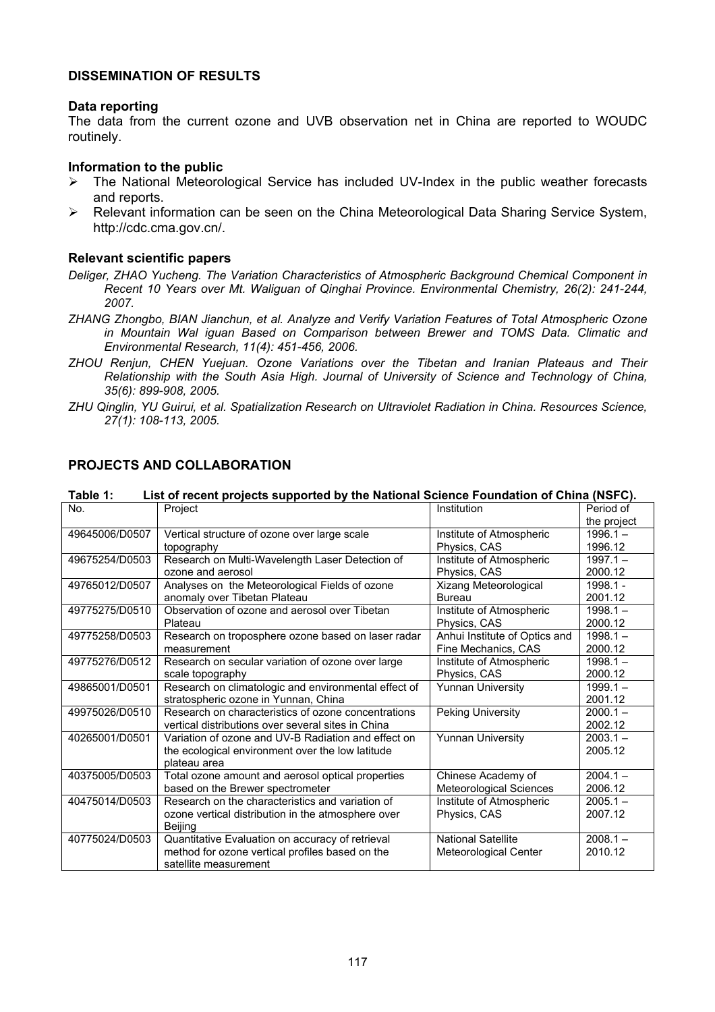## **DISSEMINATION OF RESULTS**

#### **Data reporting**

The data from the current ozone and UVB observation net in China are reported to WOUDC routinely.

#### **Information to the public**

- ¾ The National Meteorological Service has included UV-Index in the public weather forecasts and reports.
- ¾ Relevant information can be seen on the China Meteorological Data Sharing Service System, http://cdc.cma.gov.cn/.

### **Relevant scientific papers**

*Deliger, ZHAO Yucheng. The Variation Characteristics of Atmospheric Background Chemical Component in Recent 10 Years over Mt. Waliguan of Qinghai Province. Environmental Chemistry, 26(2): 241-244, 2007.* 

- *ZHANG Zhongbo, BIAN Jianchun, et al. Analyze and Verify Variation Features of Total Atmospheric Ozone in Mountain Wal iguan Based on Comparison between Brewer and TOMS Data. Climatic and Environmental Research, 11(4): 451-456, 2006.*
- *ZHOU Renjun, CHEN Yuejuan. Ozone Variations over the Tibetan and Iranian Plateaus and Their Relationship with the South Asia High. Journal of University of Science and Technology of China, 35(6): 899-908, 2005.*

| List of recent projects supported by the National Science Foundation of China (NSFC).<br>Table 1: |                                                      |                               |             |  |  |  |  |
|---------------------------------------------------------------------------------------------------|------------------------------------------------------|-------------------------------|-------------|--|--|--|--|
| No.                                                                                               | Project                                              | Institution                   | Period of   |  |  |  |  |
|                                                                                                   |                                                      |                               | the project |  |  |  |  |
| 49645006/D0507                                                                                    | Vertical structure of ozone over large scale         | Institute of Atmospheric      | $1996.1 -$  |  |  |  |  |
|                                                                                                   | topography                                           | Physics, CAS                  | 1996.12     |  |  |  |  |
| 49675254/D0503                                                                                    | Research on Multi-Wavelength Laser Detection of      | Institute of Atmospheric      | $1997.1 -$  |  |  |  |  |
|                                                                                                   | ozone and aerosol                                    | Physics, CAS                  | 2000.12     |  |  |  |  |
| 49765012/D0507                                                                                    | Analyses on the Meteorological Fields of ozone       | Xizang Meteorological         | $1998.1 -$  |  |  |  |  |
|                                                                                                   | anomaly over Tibetan Plateau                         | Bureau                        | 2001.12     |  |  |  |  |
| 49775275/D0510                                                                                    | Observation of ozone and aerosol over Tibetan        | Institute of Atmospheric      | $1998.1 -$  |  |  |  |  |
|                                                                                                   | Plateau                                              | Physics, CAS                  | 2000.12     |  |  |  |  |
| 49775258/D0503                                                                                    | Research on troposphere ozone based on laser radar   | Anhui Institute of Optics and | $1998.1 -$  |  |  |  |  |
|                                                                                                   | measurement                                          | Fine Mechanics, CAS           | 2000.12     |  |  |  |  |
| 49775276/D0512                                                                                    | Research on secular variation of ozone over large    | Institute of Atmospheric      | $1998.1 -$  |  |  |  |  |
|                                                                                                   | scale topography                                     | Physics, CAS                  | 2000.12     |  |  |  |  |
| 49865001/D0501                                                                                    | Research on climatologic and environmental effect of | <b>Yunnan University</b>      | $1999.1 -$  |  |  |  |  |
|                                                                                                   | stratospheric ozone in Yunnan, China                 |                               | 2001.12     |  |  |  |  |
| 49975026/D0510                                                                                    | Research on characteristics of ozone concentrations  | <b>Peking University</b>      | $2000.1 -$  |  |  |  |  |
|                                                                                                   | vertical distributions over several sites in China   |                               | 2002.12     |  |  |  |  |
| 40265001/D0501                                                                                    | Variation of ozone and UV-B Radiation and effect on  | <b>Yunnan University</b>      | $2003.1 -$  |  |  |  |  |
|                                                                                                   | the ecological environment over the low latitude     |                               | 2005.12     |  |  |  |  |
|                                                                                                   | plateau area                                         |                               |             |  |  |  |  |
| 40375005/D0503                                                                                    | Total ozone amount and aerosol optical properties    | Chinese Academy of            | $2004.1 -$  |  |  |  |  |
|                                                                                                   | based on the Brewer spectrometer                     | Meteorological Sciences       | 2006.12     |  |  |  |  |
| 40475014/D0503                                                                                    | Research on the characteristics and variation of     | Institute of Atmospheric      | $2005.1 -$  |  |  |  |  |
|                                                                                                   | ozone vertical distribution in the atmosphere over   | Physics, CAS                  | 2007.12     |  |  |  |  |
|                                                                                                   | Beijing                                              |                               |             |  |  |  |  |
| 40775024/D0503                                                                                    | Quantitative Evaluation on accuracy of retrieval     | <b>National Satellite</b>     | $2008.1 -$  |  |  |  |  |
|                                                                                                   | method for ozone vertical profiles based on the      | <b>Meteorological Center</b>  | 2010.12     |  |  |  |  |
|                                                                                                   | satellite measurement                                |                               |             |  |  |  |  |

# **PROJECTS AND COLLABORATION**

*ZHU Qinglin, YU Guirui, et al. Spatialization Research on Ultraviolet Radiation in China. Resources Science, 27(1): 108-113, 2005.*